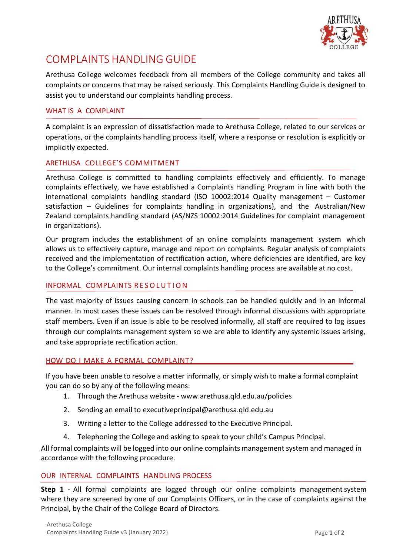

# COMPLAINTS HANDLING GUIDE

Arethusa College welcomes feedback from all members of the College community and takes all complaints or concerns that may be raised seriously. This Complaints Handling Guide is designed to assist you to understand our complaints handling process.

## WHAT IS A COMPLAINT

A complaint is an expression of dissatisfaction made to Arethusa College, related to our services or operations, or the complaints handling process itself, where a response or resolution is explicitly or implicitly expected.

## ARETHUSA COLLEGE'S COMMITMENT

Arethusa College is committed to handling complaints effectively and efficiently. To manage complaints effectively, we have established a Complaints Handling Program in line with both the international complaints handling standard (ISO 10002:2014 Quality management – Customer satisfaction – Guidelines for complaints handling in organizations), and the Australian/New Zealand complaints handling standard (AS/NZS 10002:2014 Guidelines for complaint management in organizations).

Our program includes the establishment of an online complaints management system which allows us to effectively capture, manage and report on complaints. Regular analysis of complaints received and the implementation of rectification action, where deficiencies are identified, are key to the College's commitment. Our internal complaints handling process are available at no cost.

### INFORMAL COMPLAINTS RESOLUTION

The vast majority of issues causing concern in schools can be handled quickly and in an informal manner. In most cases these issues can be resolved through informal discussions with appropriate staff members. Even if an issue is able to be resolved informally, all staff are required to log issues through our complaints management system so we are able to identify any systemic issues arising, and take appropriate rectification action.

### HOW DO I MAKE A FORMAL COMPLAINT?

If you have been unable to resolve a matter informally, or simply wish to make a formal complaint you can do so by any of the following means:

- 1. Through the Arethusa website [www.arethusa.qld.edu.au/policies](http://www.arethusa.qld.edu.au/policies)
- 2. Sending an email to [executiveprincipal@arethusa.qld.edu.au](mailto:executiveprincipal@arethusa.qld.edu.au)
- 3. Writing a letter to the College addressed to the Executive Principal.
- 4. Telephoning the College and asking to speak to your child's Campus Principal.

All formal complaints will be logged into our online complaints management system and managed in accordance with the following procedure.

### OUR INTERNAL COMPLAINTS HANDLING PROCESS

**Step 1** - All formal complaints are logged through our online complaints managementsystem where they are screened by one of our Complaints Officers, or in the case of complaints against the Principal, by the Chair of the College Board of Directors.